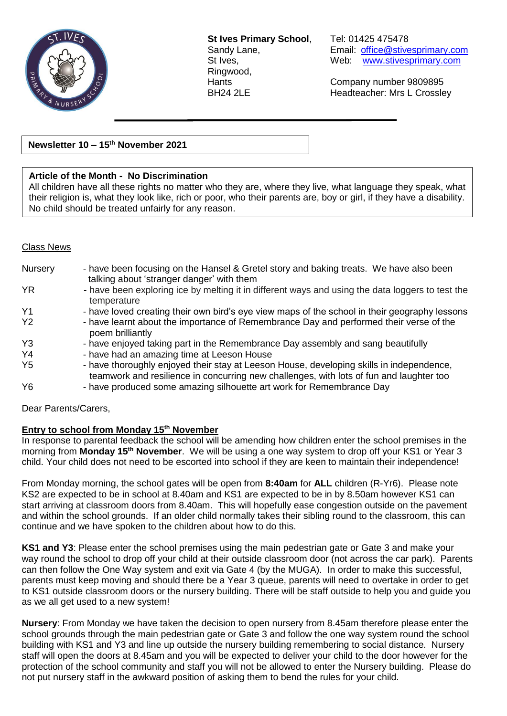

**St Ives Primary School**, Tel: 01425 475478 Ringwood,

Sandy Lane, Email: [office@stivesprimary.com](mailto:office@stivesprimary.com)<br>St Ives. example web: www.stivesprimary.com Web: [www.stivesprimary.com](http://www.stives.dorset.sch.uk/)

Hants Company number 9809895 BH24 2LE Headteacher: Mrs L Crossley

**Newsletter 10 – 15 th November 2021**

### **Article of the Month - No Discrimination**

All children have all these rights no matter who they are, where they live, what language they speak, what their religion is, what they look like, rich or poor, who their parents are, boy or girl, if they have a disability. No child should be treated unfairly for any reason.

#### Class News

| <b>Nursery</b> | - have been focusing on the Hansel & Gretel story and baking treats. We have also been<br>talking about 'stranger danger' with them                                                 |
|----------------|-------------------------------------------------------------------------------------------------------------------------------------------------------------------------------------|
| <b>YR</b>      | - have been exploring ice by melting it in different ways and using the data loggers to test the<br>temperature                                                                     |
| Y <sub>1</sub> | - have loved creating their own bird's eye view maps of the school in their geography lessons                                                                                       |
| <b>Y2</b>      | - have learnt about the importance of Remembrance Day and performed their verse of the<br>poem brilliantly                                                                          |
| Y <sub>3</sub> | - have enjoyed taking part in the Remembrance Day assembly and sang beautifully                                                                                                     |
| Y <sub>4</sub> | - have had an amazing time at Leeson House                                                                                                                                          |
| Y <sub>5</sub> | - have thoroughly enjoyed their stay at Leeson House, developing skills in independence,<br>teamwork and resilience in concurring new challenges, with lots of fun and laughter too |
| Y <sub>6</sub> | - have produced some amazing silhouette art work for Remembrance Day                                                                                                                |

Dear Parents/Carers,

#### **Entry to school from Monday 15th November**

In response to parental feedback the school will be amending how children enter the school premises in the morning from **Monday 15th November**. We will be using a one way system to drop off your KS1 or Year 3 child. Your child does not need to be escorted into school if they are keen to maintain their independence!

From Monday morning, the school gates will be open from **8:40am** for **ALL** children (R-Yr6). Please note KS2 are expected to be in school at 8.40am and KS1 are expected to be in by 8.50am however KS1 can start arriving at classroom doors from 8.40am. This will hopefully ease congestion outside on the pavement and within the school grounds. If an older child normally takes their sibling round to the classroom, this can continue and we have spoken to the children about how to do this.

**KS1 and Y3**: Please enter the school premises using the main pedestrian gate or Gate 3 and make your way round the school to drop off your child at their outside classroom door (not across the car park). Parents can then follow the One Way system and exit via Gate 4 (by the MUGA). In order to make this successful, parents must keep moving and should there be a Year 3 queue, parents will need to overtake in order to get to KS1 outside classroom doors or the nursery building. There will be staff outside to help you and guide you as we all get used to a new system!

**Nursery**: From Monday we have taken the decision to open nursery from 8.45am therefore please enter the school grounds through the main pedestrian gate or Gate 3 and follow the one way system round the school building with KS1 and Y3 and line up outside the nursery building remembering to social distance. Nursery staff will open the doors at 8.45am and you will be expected to deliver your child to the door however for the protection of the school community and staff you will not be allowed to enter the Nursery building. Please do not put nursery staff in the awkward position of asking them to bend the rules for your child.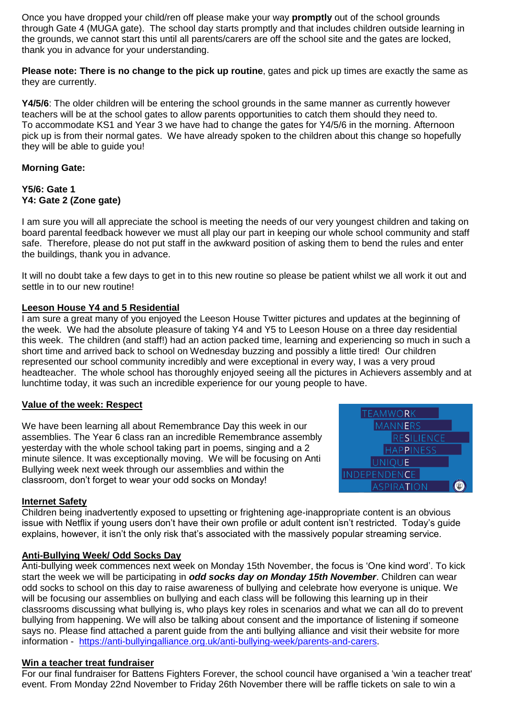Once you have dropped your child/ren off please make your way **promptly** out of the school grounds through Gate 4 (MUGA gate). The school day starts promptly and that includes children outside learning in the grounds, we cannot start this until all parents/carers are off the school site and the gates are locked, thank you in advance for your understanding.

**Please note: There is no change to the pick up routine**, gates and pick up times are exactly the same as they are currently.

**Y4/5/6**: The older children will be entering the school grounds in the same manner as currently however teachers will be at the school gates to allow parents opportunities to catch them should they need to. To accommodate KS1 and Year 3 we have had to change the gates for Y4/5/6 in the morning. Afternoon pick up is from their normal gates. We have already spoken to the children about this change so hopefully they will be able to guide you!

## **Morning Gate:**

#### **Y5/6: Gate 1 Y4: Gate 2 (Zone gate)**

I am sure you will all appreciate the school is meeting the needs of our very youngest children and taking on board parental feedback however we must all play our part in keeping our whole school community and staff safe. Therefore, please do not put staff in the awkward position of asking them to bend the rules and enter the buildings, thank you in advance.

It will no doubt take a few days to get in to this new routine so please be patient whilst we all work it out and settle in to our new routine!

## **Leeson House Y4 and 5 Residential**

I am sure a great many of you enjoyed the Leeson House Twitter pictures and updates at the beginning of the week. We had the absolute pleasure of taking Y4 and Y5 to Leeson House on a three day residential this week. The children (and staff!) had an action packed time, learning and experiencing so much in such a short time and arrived back to school on Wednesday buzzing and possibly a little tired! Our children represented our school community incredibly and were exceptional in every way, I was a very proud headteacher. The whole school has thoroughly enjoyed seeing all the pictures in Achievers assembly and at lunchtime today, it was such an incredible experience for our young people to have.

#### **Value of the week: Respect**

We have been learning all about Remembrance Day this week in our assemblies. The Year 6 class ran an incredible Remembrance assembly yesterday with the whole school taking part in poems, singing and a 2 minute silence. It was exceptionally moving. We will be focusing on Anti Bullying week next week through our assemblies and within the classroom, don't forget to wear your odd socks on Monday!



#### **Internet Safety**

Children being inadvertently exposed to upsetting or frightening age-inappropriate content is an obvious issue with Netflix if young users don't have their own profile or adult content isn't restricted. Today's guide explains, however, it isn't the only risk that's associated with the massively popular streaming service.

#### **Anti-Bullying Week/ Odd Socks Day**

Anti-bullying week commences next week on Monday 15th November, the focus is 'One kind word'. To kick start the week we will be participating in *odd socks day on Monday 15th November*. Children can wear odd socks to school on this day to raise awareness of bullying and celebrate how everyone is unique. We will be focusing our assemblies on bullying and each class will be following this learning up in their classrooms discussing what bullying is, who plays key roles in scenarios and what we can all do to prevent bullying from happening. We will also be talking about consent and the importance of listening if someone says no. Please find attached a parent guide from the anti bullying alliance and visit their website for more information - [https://anti-bullyingalliance.org.uk/anti-bullying-week/parents-and-carers.](https://anti-bullyingalliance.org.uk/anti-bullying-week/parents-and-carers)

#### **Win a teacher treat fundraiser**

For our final fundraiser for Battens Fighters Forever, the school council have organised a 'win a teacher treat' event. From Monday 22nd November to Friday 26th November there will be raffle tickets on sale to win a